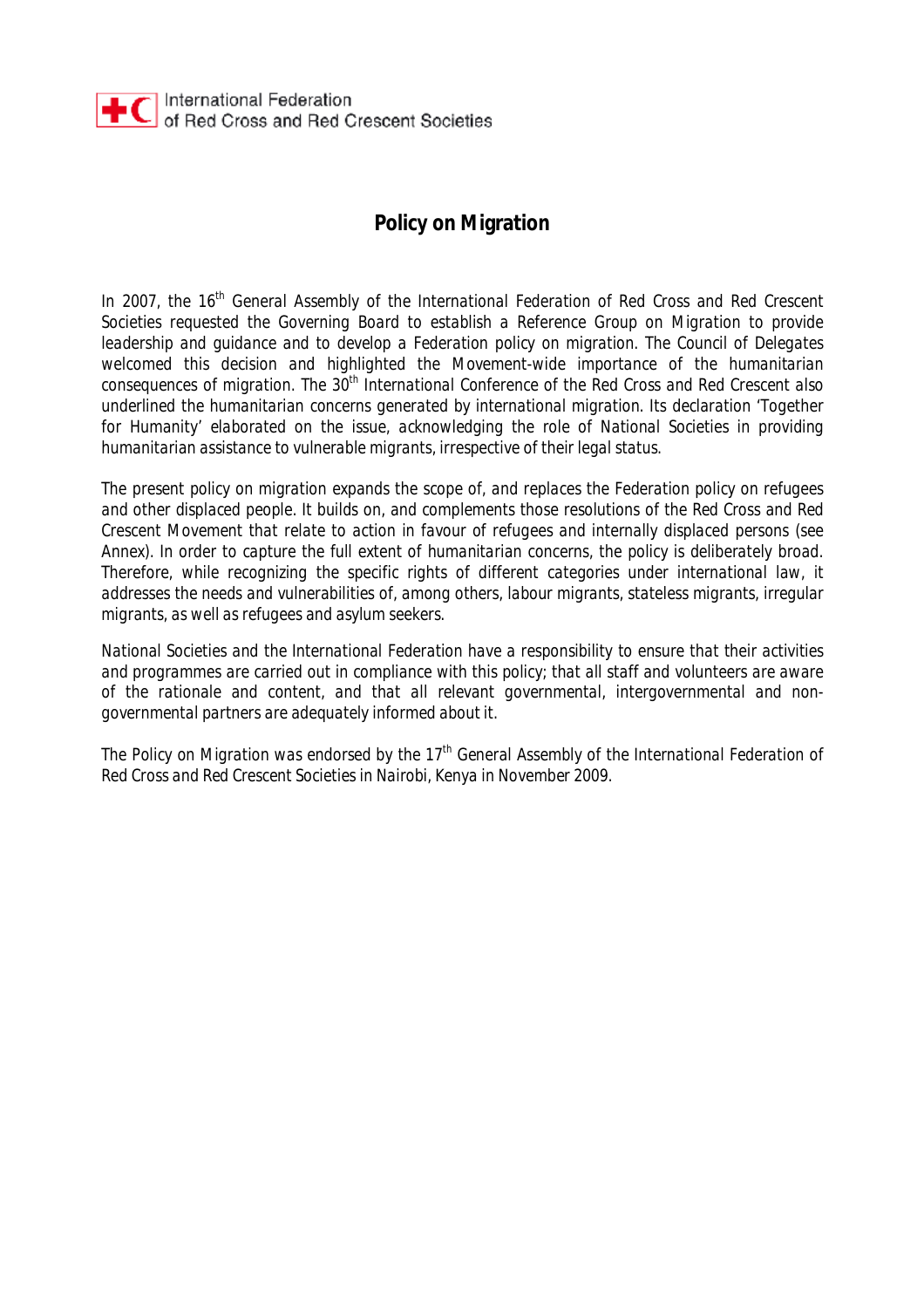# **Policy on Migration**

*In 2007, the 16th General Assembly of the International Federation of Red Cross and Red Crescent Societies requested the Governing Board to establish a Reference Group on Migration to provide leadership and guidance and to develop a Federation policy on migration. The Council of Delegates welcomed this decision and highlighted the Movement-wide importance of the humanitarian consequences of migration. The 30th International Conference of the Red Cross and Red Crescent also underlined the humanitarian concerns generated by international migration. Its declaration 'Together for Humanity' elaborated on the issue, acknowledging the role of National Societies in providing humanitarian assistance to vulnerable migrants, irrespective of their legal status.* 

*The present policy on migration expands the scope of, and replaces the Federation policy on refugees and other displaced people. It builds on, and complements those resolutions of the Red Cross and Red Crescent Movement that relate to action in favour of refugees and internally displaced persons (see Annex). In order to capture the full extent of humanitarian concerns, the policy is deliberately broad. Therefore, while recognizing the specific rights of different categories under international law, it addresses the needs and vulnerabilities of, among others, labour migrants, stateless migrants, irregular migrants, as well as refugees and asylum seekers.* 

*National Societies and the International Federation have a responsibility to ensure that their activities and programmes are carried out in compliance with this policy; that all staff and volunteers are aware of the rationale and content, and that all relevant governmental, intergovernmental and nongovernmental partners are adequately informed about it.* 

*The Policy on Migration was endorsed by the 17th General Assembly of the International Federation of Red Cross and Red Crescent Societies in Nairobi, Kenya in November 2009.*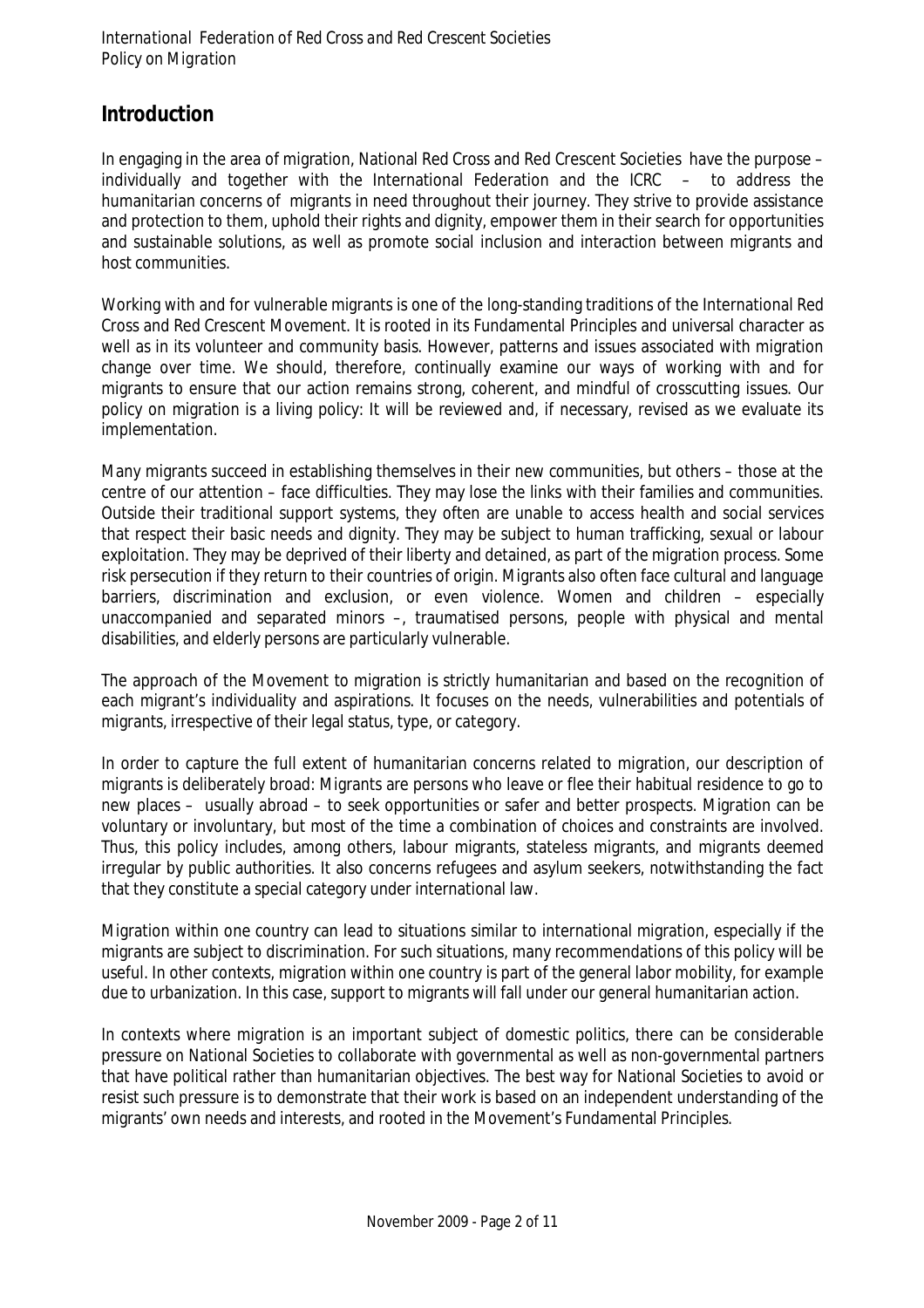### **Introduction**

In engaging in the area of migration, National Red Cross and Red Crescent Societies have the purpose – individually and together with the International Federation and the ICRC – to address the humanitarian concerns of migrants in need throughout their journey. They strive to provide assistance and protection to them, uphold their rights and dignity, empower them in their search for opportunities and sustainable solutions, as well as promote social inclusion and interaction between migrants and host communities.

Working with and for vulnerable migrants is one of the long-standing traditions of the International Red Cross and Red Crescent Movement. It is rooted in its Fundamental Principles and universal character as well as in its volunteer and community basis. However, patterns and issues associated with migration change over time. We should, therefore, continually examine our ways of working with and for migrants to ensure that our action remains strong, coherent, and mindful of crosscutting issues. Our policy on migration is a living policy: It will be reviewed and, if necessary, revised as we evaluate its implementation.

Many migrants succeed in establishing themselves in their new communities, but others – those at the centre of our attention – face difficulties. They may lose the links with their families and communities. Outside their traditional support systems, they often are unable to access health and social services that respect their basic needs and dignity. They may be subject to human trafficking, sexual or labour exploitation. They may be deprived of their liberty and detained, as part of the migration process. Some risk persecution if they return to their countries of origin. Migrants also often face cultural and language barriers, discrimination and exclusion, or even violence. Women and children – especially unaccompanied and separated minors –, traumatised persons, people with physical and mental disabilities, and elderly persons are particularly vulnerable.

The approach of the Movement to migration is strictly humanitarian and based on the recognition of each migrant's individuality and aspirations. It focuses on the needs, vulnerabilities and potentials of migrants, irrespective of their legal status, type, or category.

In order to capture the full extent of humanitarian concerns related to migration, our description of migrants is deliberately broad: Migrants are persons who leave or flee their habitual residence to go to new places – usually abroad – to seek opportunities or safer and better prospects. Migration can be voluntary or involuntary, but most of the time a combination of choices and constraints are involved. Thus, this policy includes, among others, labour migrants, stateless migrants, and migrants deemed irregular by public authorities. It also concerns refugees and asylum seekers, notwithstanding the fact that they constitute a special category under international law.

Migration within one country can lead to situations similar to international migration, especially if the migrants are subject to discrimination. For such situations, many recommendations of this policy will be useful. In other contexts, migration within one country is part of the general labor mobility, for example due to urbanization. In this case, support to migrants will fall under our general humanitarian action.

In contexts where migration is an important subject of domestic politics, there can be considerable pressure on National Societies to collaborate with governmental as well as non-governmental partners that have political rather than humanitarian objectives. The best way for National Societies to avoid or resist such pressure is to demonstrate that their work is based on an independent understanding of the migrants' own needs and interests, and rooted in the Movement's Fundamental Principles.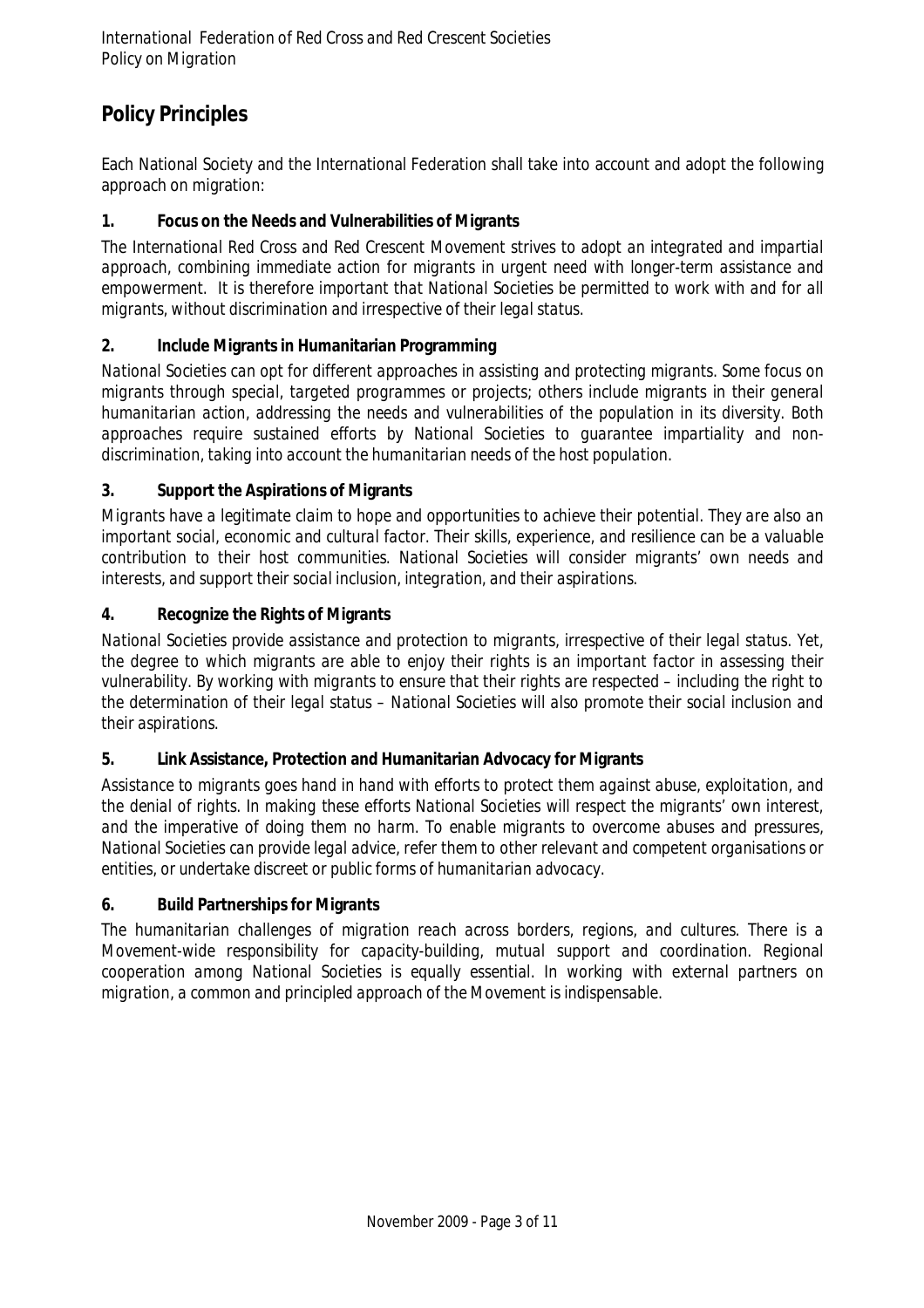# **Policy Principles**

Each National Society and the International Federation shall take into account and adopt the following approach on migration:

#### **1. Focus on the Needs and Vulnerabilities of Migrants**

*The International Red Cross and Red Crescent Movement strives to adopt an integrated and impartial approach, combining immediate action for migrants in urgent need with longer-term assistance and empowerment. It is therefore important that National Societies be permitted to work with and for all migrants, without discrimination and irrespective of their legal status.* 

#### **2. Include Migrants in Humanitarian Programming**

*National Societies can opt for different approaches in assisting and protecting migrants. Some focus on migrants through special, targeted programmes or projects; others include migrants in their general humanitarian action, addressing the needs and vulnerabilities of the population in its diversity. Both approaches require sustained efforts by National Societies to guarantee impartiality and nondiscrimination, taking into account the humanitarian needs of the host population.* 

#### **3. Support the Aspirations of Migrants**

*Migrants have a legitimate claim to hope and opportunities to achieve their potential. They are also an important social, economic and cultural factor. Their skills, experience, and resilience can be a valuable contribution to their host communities. National Societies will consider migrants' own needs and interests, and support their social inclusion, integration, and their aspirations.* 

#### **4. Recognize the Rights of Migrants**

*National Societies provide assistance and protection to migrants, irrespective of their legal status. Yet,*  the degree to which migrants are able to enjoy their rights is an important factor in assessing their vulnerability. By working with migrants to ensure that their rights are respected - including the right to *the determination of their legal status – National Societies will also promote their social inclusion and their aspirations.* 

#### **5. Link Assistance, Protection and Humanitarian Advocacy for Migrants**

*Assistance to migrants goes hand in hand with efforts to protect them against abuse, exploitation, and the denial of rights. In making these efforts National Societies will respect the migrants' own interest, and the imperative of doing them no harm. To enable migrants to overcome abuses and pressures, National Societies can provide legal advice, refer them to other relevant and competent organisations or entities, or undertake discreet or public forms of humanitarian advocacy.* 

#### **6. Build Partnerships for Migrants**

*The humanitarian challenges of migration reach across borders, regions, and cultures. There is a Movement-wide responsibility for capacity-building, mutual support and coordination. Regional cooperation among National Societies is equally essential. In working with external partners on migration, a common and principled approach of the Movement is indispensable.*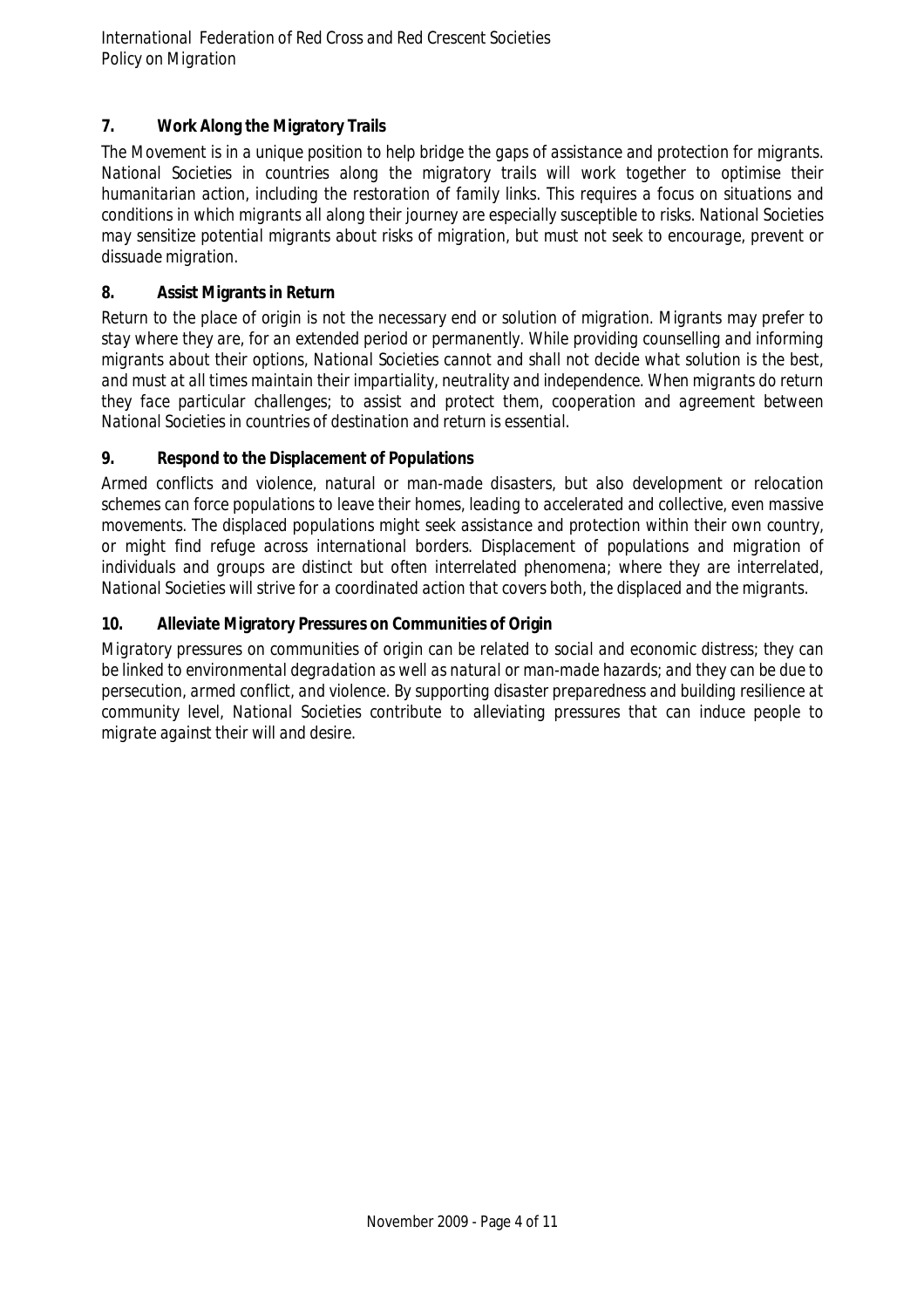#### **7. Work Along the Migratory Trails**

The Movement is in a unique position to help bridge the gaps of assistance and protection for migrants. *National Societies in countries along the migratory trails will work together to optimise their humanitarian action, including the restoration of family links. This requires a focus on situations and conditions in which migrants all along their journey are especially susceptible to risks. National Societies may sensitize potential migrants about risks of migration, but must not seek to encourage, prevent or dissuade migration.* 

#### **8. Assist Migrants in Return**

Return to the place of origin is not the necessary end or solution of migration. Migrants may prefer to *stay where they are, for an extended period or permanently. While providing counselling and informing migrants about their options, National Societies cannot and shall not decide what solution is the best, and must at all times maintain their impartiality, neutrality and independence. When migrants do return they face particular challenges; to assist and protect them, cooperation and agreement between National Societies in countries of destination and return is essential.* 

#### **9. Respond to the Displacement of Populations**

*Armed conflicts and violence, natural or man-made disasters, but also development or relocation schemes can force populations to leave their homes, leading to accelerated and collective, even massive movements. The displaced populations might seek assistance and protection within their own country, or might find refuge across international borders. Displacement of populations and migration of individuals and groups are distinct but often interrelated phenomena; where they are interrelated, National Societies will strive for a coordinated action that covers both, the displaced and the migrants.* 

#### **10. Alleviate Migratory Pressures on Communities of Origin**

*Migratory pressures on communities of origin can be related to social and economic distress; they can be linked to environmental degradation as well as natural or man-made hazards; and they can be due to persecution, armed conflict, and violence. By supporting disaster preparedness and building resilience at community level, National Societies contribute to alleviating pressures that can induce people to migrate against their will and desire.*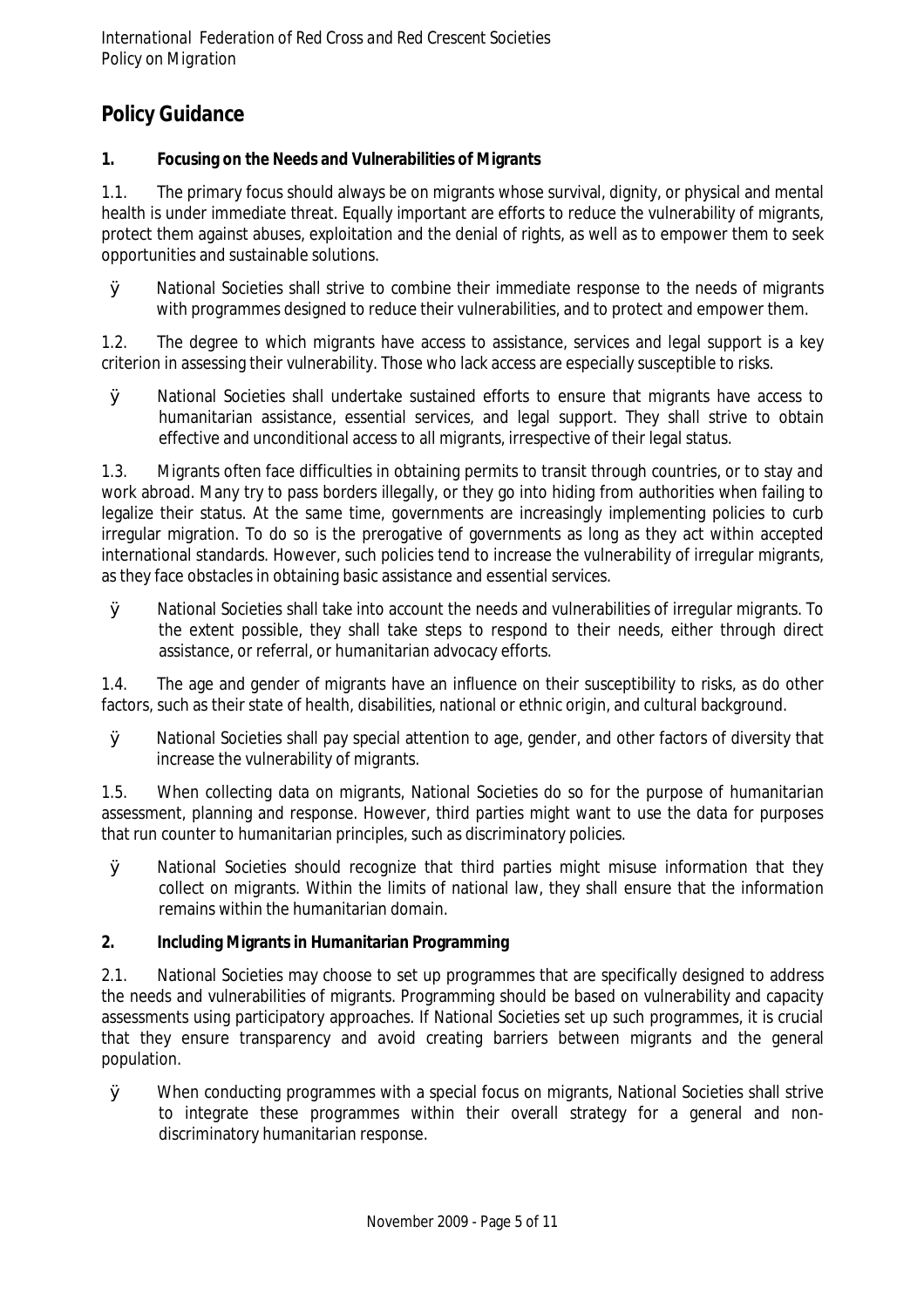# **Policy Guidance**

**1. Focusing on the Needs and Vulnerabilities of Migrants** 

1.1. The primary focus should always be on migrants whose survival, dignity, or physical and mental health is under immediate threat. Equally important are efforts to reduce the vulnerability of migrants, protect them against abuses, exploitation and the denial of rights, as well as to empower them to seek opportunities and sustainable solutions.

Ø National Societies shall strive to combine their immediate response to the needs of migrants with programmes designed to reduce their vulnerabilities, and to protect and empower them.

1.2. The degree to which migrants have access to assistance, services and legal support is a key criterion in assessing their vulnerability. Those who lack access are especially susceptible to risks.

Ø National Societies shall undertake sustained efforts to ensure that migrants have access to humanitarian assistance, essential services, and legal support. They shall strive to obtain effective and unconditional access to all migrants, irrespective of their legal status.

1.3. Migrants often face difficulties in obtaining permits to transit through countries, or to stay and work abroad. Many try to pass borders illegally, or they go into hiding from authorities when failing to legalize their status. At the same time, governments are increasingly implementing policies to curb irregular migration. To do so is the prerogative of governments as long as they act within accepted international standards. However, such policies tend to increase the vulnerability of irregular migrants, as they face obstacles in obtaining basic assistance and essential services.

Ø National Societies shall take into account the needs and vulnerabilities of irregular migrants. To the extent possible, they shall take steps to respond to their needs, either through direct assistance, or referral, or humanitarian advocacy efforts.

1.4. The age and gender of migrants have an influence on their susceptibility to risks, as do other factors, such as their state of health, disabilities, national or ethnic origin, and cultural background.

Ø National Societies shall pay special attention to age, gender, and other factors of diversity that increase the vulnerability of migrants.

1.5. When collecting data on migrants, National Societies do so for the purpose of humanitarian assessment, planning and response. However, third parties might want to use the data for purposes that run counter to humanitarian principles, such as discriminatory policies.

- Ø National Societies should recognize that third parties might misuse information that they collect on migrants. Within the limits of national law, they shall ensure that the information remains within the humanitarian domain.
- **2. Including Migrants in Humanitarian Programming**

2.1. National Societies may choose to set up programmes that are specifically designed to address the needs and vulnerabilities of migrants. Programming should be based on vulnerability and capacity assessments using participatory approaches. If National Societies set up such programmes, it is crucial that they ensure transparency and avoid creating barriers between migrants and the general population.

Ø When conducting programmes with a special focus on migrants, National Societies shall strive to integrate these programmes within their overall strategy for a general and nondiscriminatory humanitarian response.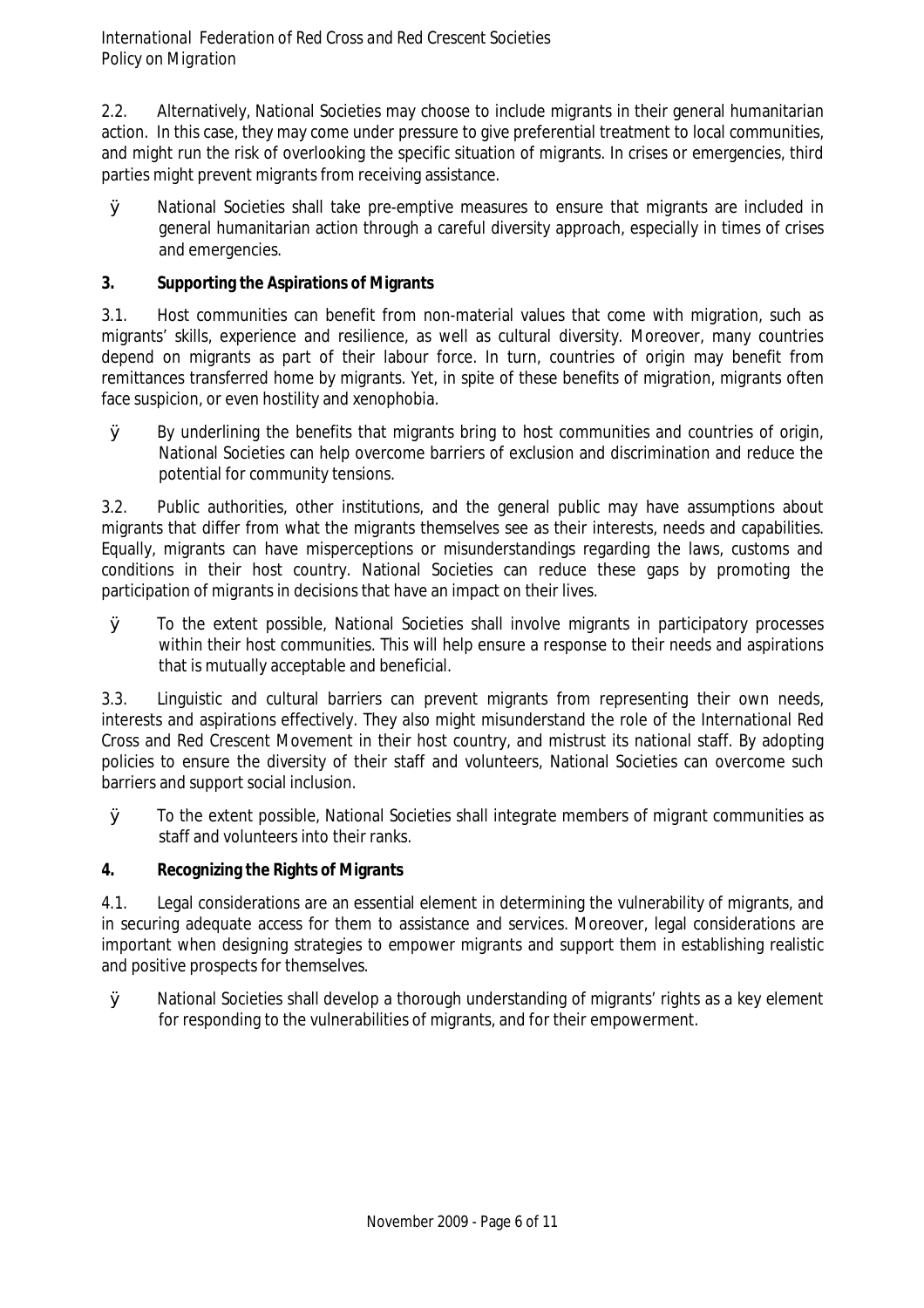2.2. Alternatively, National Societies may choose to include migrants in their general humanitarian action. In this case, they may come under pressure to give preferential treatment to local communities, and might run the risk of overlooking the specific situation of migrants. In crises or emergencies, third parties might prevent migrants from receiving assistance.

- Ø National Societies shall take pre-emptive measures to ensure that migrants are included in general humanitarian action through a careful diversity approach, especially in times of crises and emergencies.
- **3. Supporting the Aspirations of Migrants**

3.1. Host communities can benefit from non-material values that come with migration, such as migrants' skills, experience and resilience, as well as cultural diversity. Moreover, many countries depend on migrants as part of their labour force. In turn, countries of origin may benefit from remittances transferred home by migrants. Yet, in spite of these benefits of migration, migrants often face suspicion, or even hostility and xenophobia.

Ø By underlining the benefits that migrants bring to host communities and countries of origin, National Societies can help overcome barriers of exclusion and discrimination and reduce the potential for community tensions.

3.2. Public authorities, other institutions, and the general public may have assumptions about migrants that differ from what the migrants themselves see as their interests, needs and capabilities. Equally, migrants can have misperceptions or misunderstandings regarding the laws, customs and conditions in their host country. National Societies can reduce these gaps by promoting the participation of migrants in decisions that have an impact on their lives.

Ø To the extent possible, National Societies shall involve migrants in participatory processes within their host communities. This will help ensure a response to their needs and aspirations that is mutually acceptable and beneficial.

3.3. Linguistic and cultural barriers can prevent migrants from representing their own needs, interests and aspirations effectively. They also might misunderstand the role of the International Red Cross and Red Crescent Movement in their host country, and mistrust its national staff. By adopting policies to ensure the diversity of their staff and volunteers, National Societies can overcome such barriers and support social inclusion.

- Ø To the extent possible, National Societies shall integrate members of migrant communities as staff and volunteers into their ranks.
- **4. Recognizing the Rights of Migrants**

4.1. Legal considerations are an essential element in determining the vulnerability of migrants, and in securing adequate access for them to assistance and services. Moreover, legal considerations are important when designing strategies to empower migrants and support them in establishing realistic and positive prospects for themselves.

Ø National Societies shall develop a thorough understanding of migrants' rights as a key element for responding to the vulnerabilities of migrants, and for their empowerment.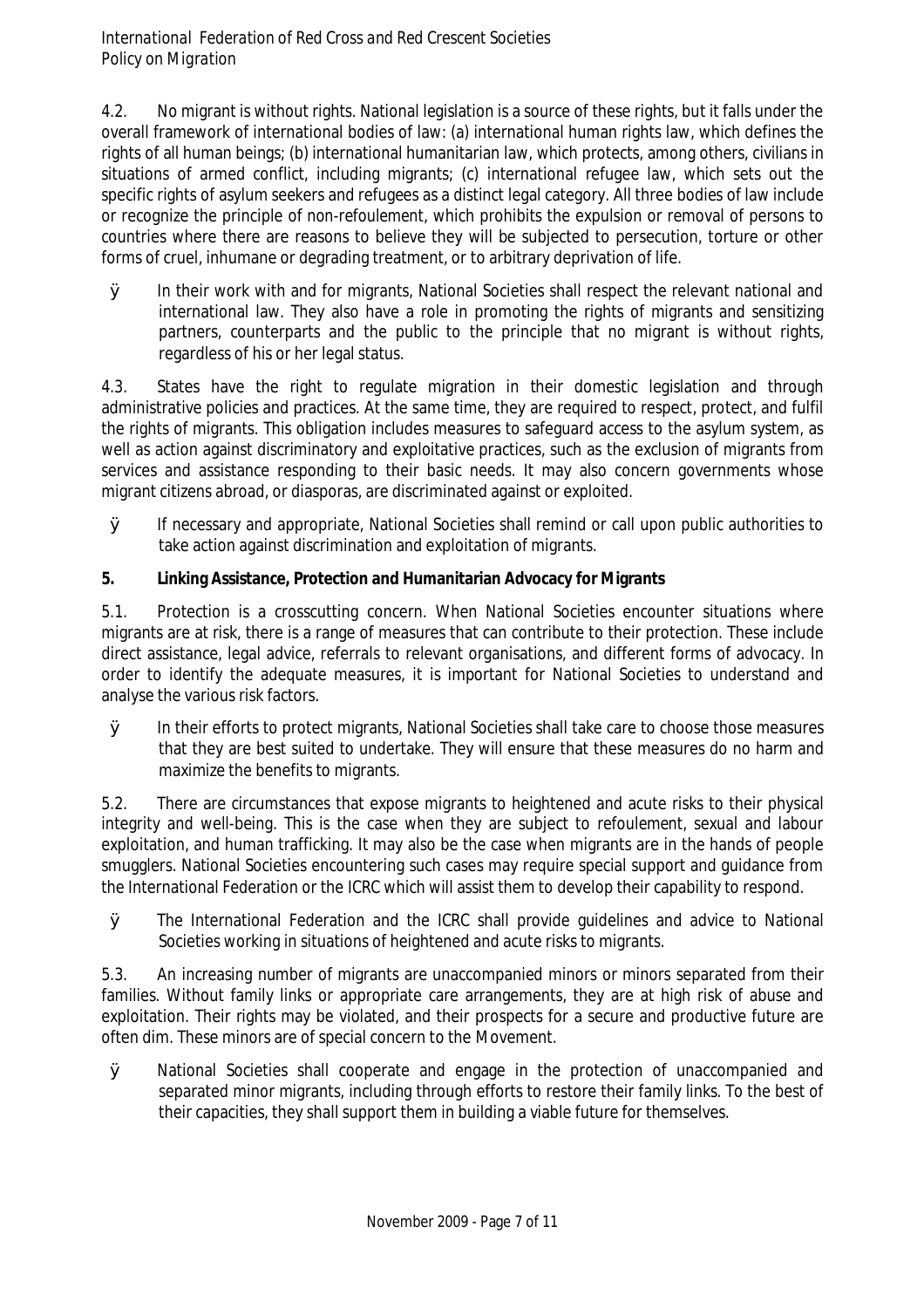4.2. No migrant is without rights. National legislation is a source of these rights, but it falls under the overall framework of international bodies of law: (a) international human rights law, which defines the rights of all human beings; (b) international humanitarian law, which protects, among others, civilians in situations of armed conflict, including migrants; (c) international refugee law, which sets out the specific rights of asylum seekers and refugees as a distinct legal category. All three bodies of law include or recognize the principle of *non-refoulement*, which prohibits the expulsion or removal of persons to countries where there are reasons to believe they will be subjected to persecution, torture or other forms of cruel, inhumane or degrading treatment, or to arbitrary deprivation of life.

Ø In their work with and for migrants, National Societies shall respect the relevant national and international law. They also have a role in promoting the rights of migrants and sensitizing partners, counterparts and the public to the principle that no migrant is without rights, regardless of his or her legal status.

4.3. States have the right to regulate migration in their domestic legislation and through administrative policies and practices. At the same time, they are required to respect, protect, and fulfil the rights of migrants. This obligation includes measures to safeguard access to the asylum system, as well as action against discriminatory and exploitative practices, such as the exclusion of migrants from services and assistance responding to their basic needs. It may also concern governments whose migrant citizens abroad, or diasporas, are discriminated against or exploited.

- Ø If necessary and appropriate, National Societies shall remind or call upon public authorities to take action against discrimination and exploitation of migrants.
- **5. Linking Assistance, Protection and Humanitarian Advocacy for Migrants**

5.1. Protection is a crosscutting concern. When National Societies encounter situations where migrants are at risk, there is a range of measures that can contribute to their protection. These include direct assistance, legal advice, referrals to relevant organisations, and different forms of advocacy. In order to identify the adequate measures, it is important for National Societies to understand and analyse the various risk factors.

Ø In their efforts to protect migrants, National Societies shall take care to choose those measures that they are best suited to undertake. They will ensure that these measures do no harm and maximize the benefits to migrants.

5.2. There are circumstances that expose migrants to heightened and acute risks to their physical integrity and well-being. This is the case when they are subject to *refoulement*, sexual and labour exploitation, and human trafficking. It may also be the case when migrants are in the hands of people smugglers. National Societies encountering such cases may require special support and guidance from the International Federation or the ICRC which will assist them to develop their capability to respond.

Ø The International Federation and the ICRC shall provide guidelines and advice to National Societies working in situations of heightened and acute risks to migrants.

5.3. An increasing number of migrants are unaccompanied minors or minors separated from their families. Without family links or appropriate care arrangements, they are at high risk of abuse and exploitation. Their rights may be violated, and their prospects for a secure and productive future are often dim. These minors are of special concern to the Movement.

Ø National Societies shall cooperate and engage in the protection of unaccompanied and separated minor migrants, including through efforts to restore their family links. To the best of their capacities, they shall support them in building a viable future for themselves.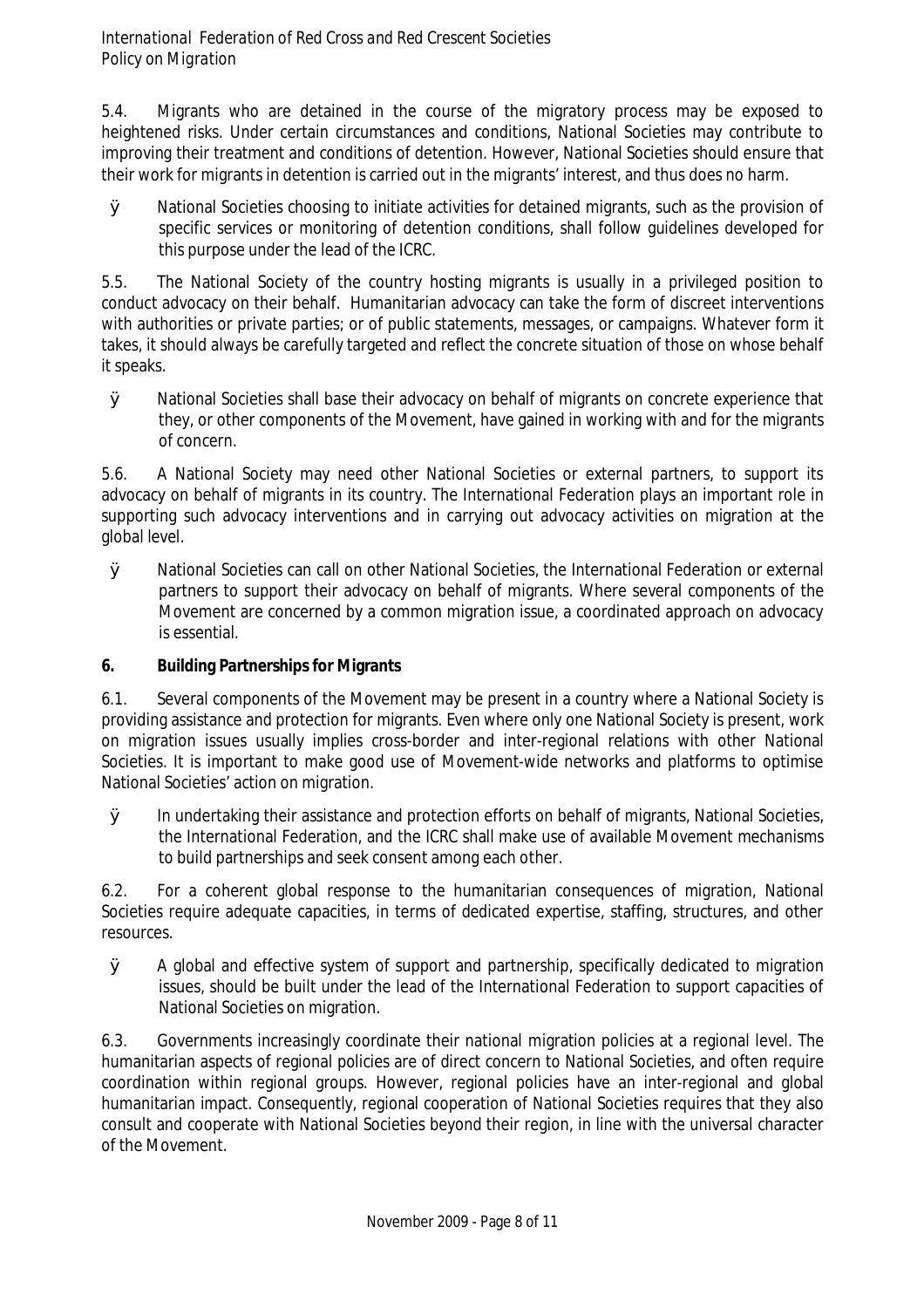5.4. Migrants who are detained in the course of the migratory process may be exposed to heightened risks. Under certain circumstances and conditions, National Societies may contribute to improving their treatment and conditions of detention. However, National Societies should ensure that their work for migrants in detention is carried out in the migrants' interest, and thus does no harm.

Ø National Societies choosing to initiate activities for detained migrants, such as the provision of specific services or monitoring of detention conditions, shall follow guidelines developed for this purpose under the lead of the ICRC.

5.5. The National Society of the country hosting migrants is usually in a privileged position to conduct advocacy on their behalf. Humanitarian advocacy can take the form of discreet interventions with authorities or private parties; or of public statements, messages, or campaigns. Whatever form it takes, it should always be carefully targeted and reflect the concrete situation of those on whose behalf it speaks.

Ø National Societies shall base their advocacy on behalf of migrants on concrete experience that they, or other components of the Movement, have gained in working with and for the migrants of concern.

5.6. A National Society may need other National Societies or external partners, to support its advocacy on behalf of migrants in its country. The International Federation plays an important role in supporting such advocacy interventions and in carrying out advocacy activities on migration at the global level.

- Ø National Societies can call on other National Societies, the International Federation or external partners to support their advocacy on behalf of migrants. Where several components of the Movement are concerned by a common migration issue, a coordinated approach on advocacy is essential.
- **6. Building Partnerships for Migrants**

6.1. Several components of the Movement may be present in a country where a National Society is providing assistance and protection for migrants. Even where only one National Society is present, work on migration issues usually implies cross-border and inter-regional relations with other National Societies. It is important to make good use of Movement-wide networks and platforms to optimise National Societies' action on migration.

Ø In undertaking their assistance and protection efforts on behalf of migrants, National Societies, the International Federation, and the ICRC shall make use of available Movement mechanisms to build partnerships and seek consent among each other.

6.2. For a coherent global response to the humanitarian consequences of migration, National Societies require adequate capacities, in terms of dedicated expertise, staffing, structures, and other resources.

 $\varnothing$  A global and effective system of support and partnership, specifically dedicated to migration issues, should be built under the lead of the International Federation to support capacities of National Societies on migration.

6.3. Governments increasingly coordinate their national migration policies at a regional level. The humanitarian aspects of regional policies are of direct concern to National Societies, and often require coordination within regional groups. However, regional policies have an inter-regional and global humanitarian impact. Consequently, regional cooperation of National Societies requires that they also consult and cooperate with National Societies beyond their region, in line with the universal character of the Movement.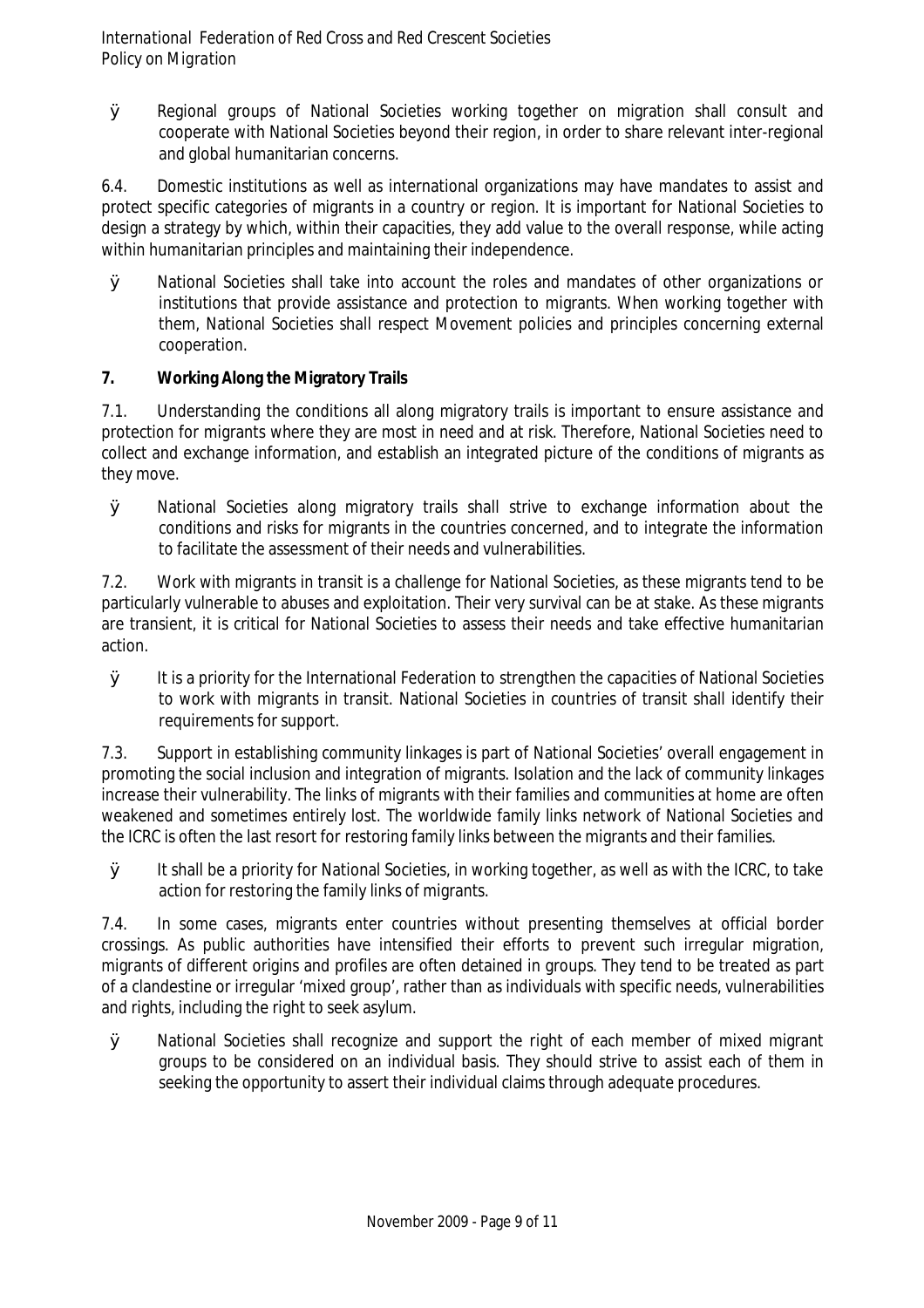Ø Regional groups of National Societies working together on migration shall consult and cooperate with National Societies beyond their region, in order to share relevant inter-regional and global humanitarian concerns.

6.4. Domestic institutions as well as international organizations may have mandates to assist and protect specific categories of migrants in a country or region. It is important for National Societies to design a strategy by which, within their capacities, they add value to the overall response, while acting within humanitarian principles and maintaining their independence.

- Ø National Societies shall take into account the roles and mandates of other organizations or institutions that provide assistance and protection to migrants. When working together with them, National Societies shall respect Movement policies and principles concerning external cooperation.
- **7. Working Along the Migratory Trails**

7.1. Understanding the conditions all along migratory trails is important to ensure assistance and protection for migrants where they are most in need and at risk. Therefore, National Societies need to collect and exchange information, and establish an integrated picture of the conditions of migrants as they move.

Ø National Societies along migratory trails shall strive to exchange information about the conditions and risks for migrants in the countries concerned, and to integrate the information to facilitate the assessment of their needs and vulnerabilities.

7.2. Work with migrants in transit is a challenge for National Societies, as these migrants tend to be particularly vulnerable to abuses and exploitation. Their very survival can be at stake. As these migrants are transient, it is critical for National Societies to assess their needs and take effective humanitarian action.

 $\varnothing$  It is a priority for the International Federation to strengthen the capacities of National Societies to work with migrants in transit. National Societies in countries of transit shall identify their requirements for support.

7.3. Support in establishing community linkages is part of National Societies' overall engagement in promoting the social inclusion and integration of migrants. Isolation and the lack of community linkages increase their vulnerability. The links of migrants with their families and communities at home are often weakened and sometimes entirely lost. The worldwide family links network of National Societies and the ICRC is often the last resort for restoring family links between the migrants and their families.

 $\varnothing$  It shall be a priority for National Societies, in working together, as well as with the ICRC, to take action for restoring the family links of migrants.

7.4. In some cases, migrants enter countries without presenting themselves at official border crossings. As public authorities have intensified their efforts to prevent such irregular migration, migrants of different origins and profiles are often detained in groups. They tend to be treated as part of a clandestine or irregular 'mixed group', rather than as individuals with specific needs, vulnerabilities and rights, including the right to seek asylum.

Ø National Societies shall recognize and support the right of each member of mixed migrant groups to be considered on an individual basis. They should strive to assist each of them in seeking the opportunity to assert their individual claims through adequate procedures.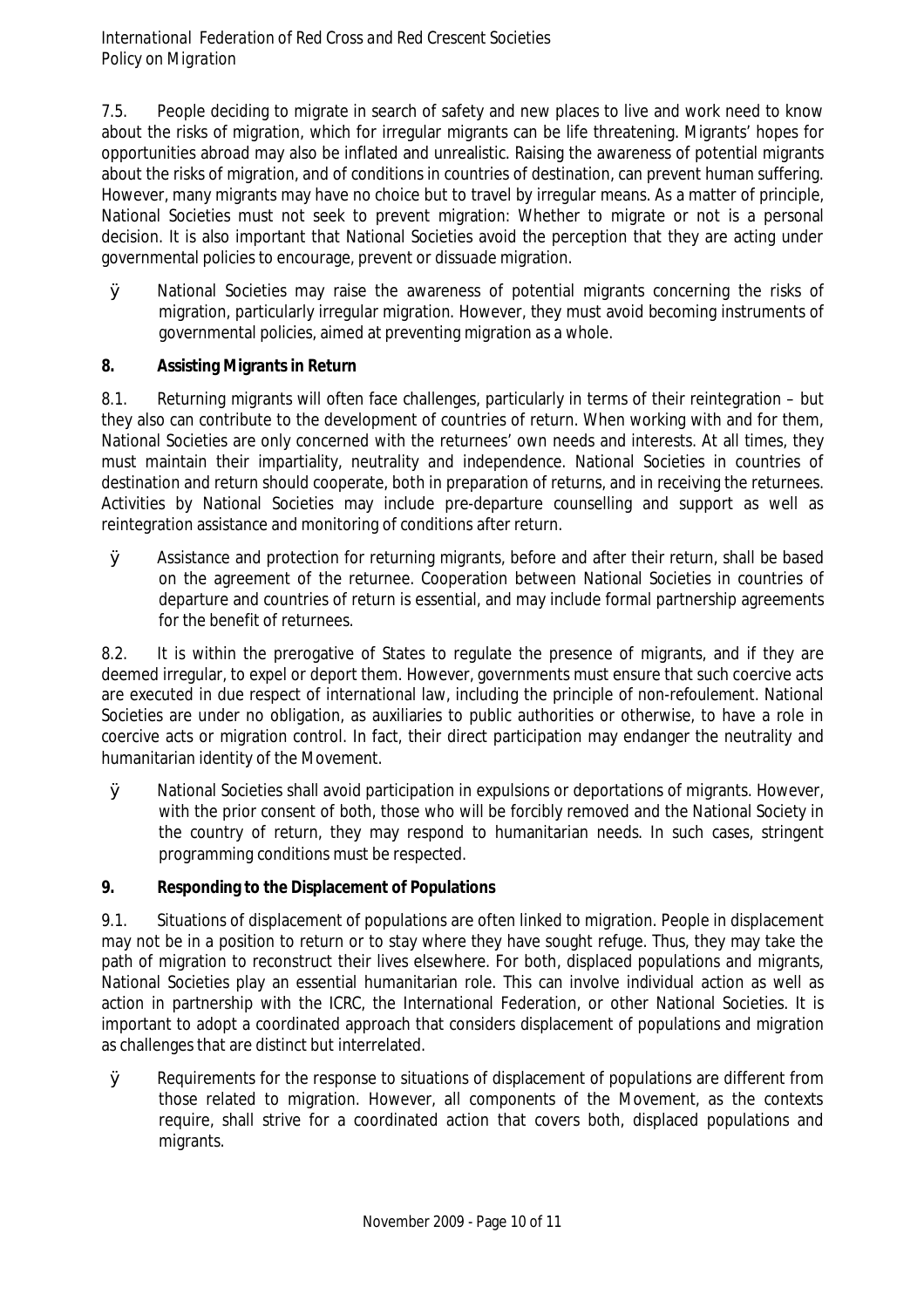7.5. People deciding to migrate in search of safety and new places to live and work need to know about the risks of migration, which for irregular migrants can be life threatening. Migrants' hopes for opportunities abroad may also be inflated and unrealistic. Raising the awareness of potential migrants about the risks of migration, and of conditions in countries of destination, can prevent human suffering. However, many migrants may have no choice but to travel by irregular means. As a matter of principle, National Societies must not seek to prevent migration: Whether to migrate or not is a personal decision. It is also important that National Societies avoid the perception that they are acting under governmental policies to encourage, prevent or dissuade migration.

- Ø National Societies may raise the awareness of potential migrants concerning the risks of migration, particularly irregular migration. However, they must avoid becoming instruments of governmental policies, aimed at preventing migration as a whole.
- **8. Assisting Migrants in Return**

8.1. Returning migrants will often face challenges, particularly in terms of their reintegration – but they also can contribute to the development of countries of return. When working with and for them, National Societies are only concerned with the returnees' own needs and interests. At all times, they must maintain their impartiality, neutrality and independence. National Societies in countries of destination and return should cooperate, both in preparation of returns, and in receiving the returnees. Activities by National Societies may include pre-departure counselling and support as well as reintegration assistance and monitoring of conditions after return.

Ø Assistance and protection for returning migrants, before and after their return, shall be based on the agreement of the returnee. Cooperation between National Societies in countries of departure and countries of return is essential, and may include formal partnership agreements for the benefit of returnees.

8.2. It is within the prerogative of States to regulate the presence of migrants, and if they are deemed irregular, to expel or deport them. However, governments must ensure that such coercive acts are executed in due respect of international law, including the principle of *non-refoulement*. National Societies are under no obligation, as auxiliaries to public authorities or otherwise, to have a role in coercive acts or migration control. In fact, their direct participation may endanger the neutrality and humanitarian identity of the Movement.

- Ø National Societies shall avoid participation in expulsions or deportations of migrants. However, with the prior consent of both, those who will be forcibly removed and the National Society in the country of return, they may respond to humanitarian needs. In such cases, stringent programming conditions must be respected.
- **9. Responding to the Displacement of Populations**

9.1. Situations of displacement of populations are often linked to migration. People in displacement may not be in a position to return or to stay where they have sought refuge. Thus, they may take the path of migration to reconstruct their lives elsewhere. For both, displaced populations and migrants, National Societies play an essential humanitarian role. This can involve individual action as well as action in partnership with the ICRC, the International Federation, or other National Societies. It is important to adopt a coordinated approach that considers displacement of populations and migration as challenges that are distinct but interrelated.

Ø Requirements for the response to situations of displacement of populations are different from those related to migration. However, all components of the Movement, as the contexts require, shall strive for a coordinated action that covers both, displaced populations and migrants.